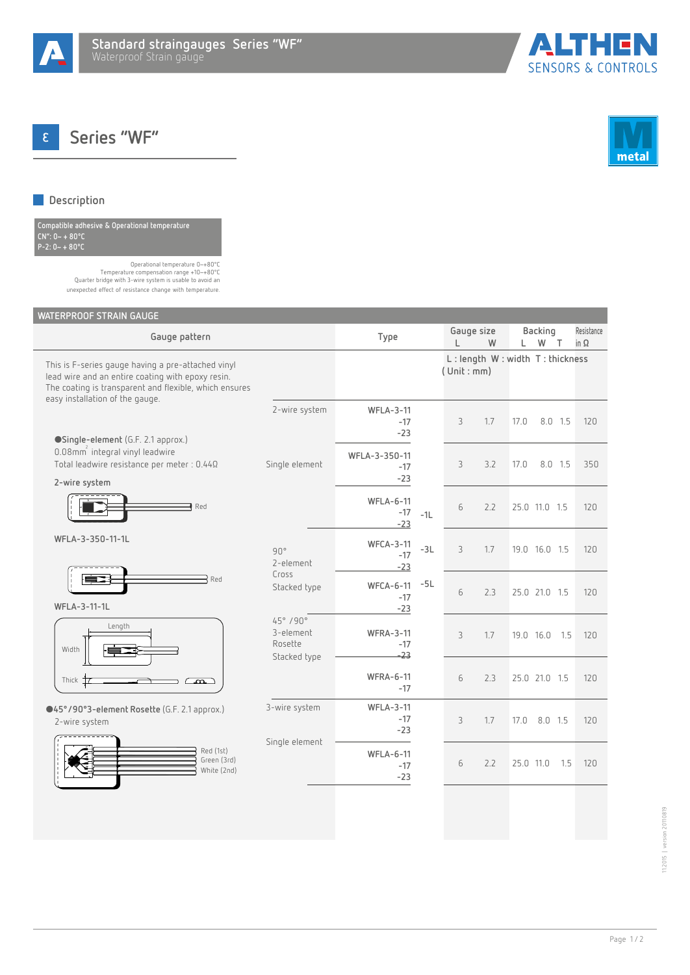





**ALTHEN SENSORS & CONTROLS** 

## **Description**

**Compatible adhesive & Operational temperature CN": 0~ + 80°C P-2: 0~ + 80°C**

> Operational temperature 0~+80°C Temperature compensation range +10~+80°C Quarter bridge with 3-wire system is usable to avoid an unexpected effect of resistance change with temperature.

|  | <b>WATERPROOF STRAIN GAUGE</b> |  |
|--|--------------------------------|--|
|--|--------------------------------|--|

| ment noor sinnin anoud<br>Gauge pattern                                                                                                                           |                                                 | Type                               | Gauge size<br>$\mathsf{L}$ | W                                            | L   | Backing<br>W T |               | Resistance<br>in $\Omega$ |     |
|-------------------------------------------------------------------------------------------------------------------------------------------------------------------|-------------------------------------------------|------------------------------------|----------------------------|----------------------------------------------|-----|----------------|---------------|---------------------------|-----|
| This is F-series gauge having a pre-attached vinyl<br>lead wire and an entire coating with epoxy resin.<br>The coating is transparent and flexible, which ensures |                                                 |                                    |                            | L: length W: width T: thickness<br>(Unit:mm) |     |                |               |                           |     |
| easy installation of the gauge.<br>Single-element (G.F. 2.1 approx.)                                                                                              | 2-wire system                                   | <b>WFLA-3-11</b><br>$-17$<br>$-23$ |                            | 3                                            | 1.7 | 17.0           | 8.0 1.5       |                           | 120 |
| 0.08mm <sup>2</sup> integral vinyl leadwire<br>Total leadwire resistance per meter : 0.440<br>2-wire system                                                       | Single element                                  | WFLA-3-350-11<br>$-17$<br>$-23$    |                            | 3                                            | 3.2 | 17.0           | 8.0 1.5       |                           | 350 |
| Red                                                                                                                                                               |                                                 | <b>WFLA-6-11</b><br>$-17$<br>$-23$ | $-1L$<br>$-3L$             | 6                                            | 2.2 |                | 25.0 11.0 1.5 |                           | 120 |
| WFLA-3-350-11-1L                                                                                                                                                  | 90°<br>2-element<br>Cross<br>Stacked type       | <b>WFCA-3-11</b><br>$-17$<br>$-23$ |                            | 3                                            | 1.7 |                | 19.0 16.0 1.5 |                           | 120 |
| Red<br><b>WFLA-3-11-1L</b>                                                                                                                                        |                                                 | WFCA-6-11 -5L<br>$-17$<br>$-23$    |                            | 6                                            | 2.3 |                | 25.0 21.0 1.5 |                           | 120 |
| Length<br>Width                                                                                                                                                   | $45^\circ$ /90 $^\circ$<br>3-element<br>Rosette | <b>WFRA-3-11</b><br>$-17$<br>$-23$ |                            | 3                                            | 1.7 |                | 19.0 16.0 1.5 |                           | 120 |
| Thick                                                                                                                                                             | Stacked type                                    | <b>WFRA-6-11</b><br>$-17$          |                            | 6                                            | 2.3 |                | 25.0 21.0 1.5 |                           | 120 |
| <sup>045°</sup> /90°3-element Rosette (G.F. 2.1 approx.)<br>2-wire system                                                                                         | 3-wire system                                   | <b>WFLA-3-11</b><br>$-17$<br>$-23$ |                            | 3                                            | 1.7 | 17.0           | 8.0 1.5       |                           | 120 |
| Red (1st)<br>Green (3rd)<br>White (2nd)                                                                                                                           | Single element                                  | <b>WFLA-6-11</b><br>$-17$<br>$-23$ |                            | 6                                            | 2.2 | 25.0 11.0      |               | 1.5                       | 120 |
|                                                                                                                                                                   |                                                 |                                    |                            |                                              |     |                |               |                           |     |